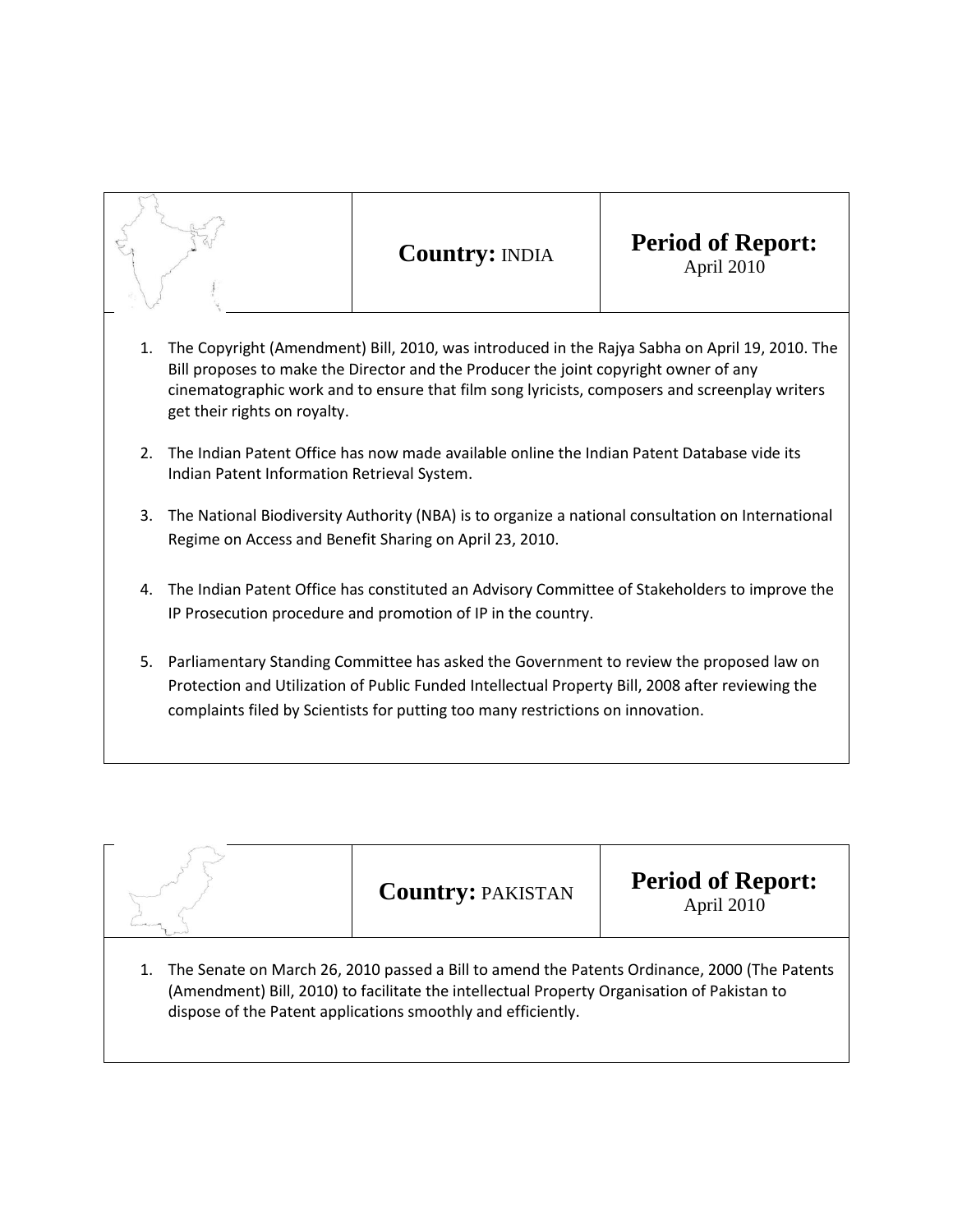

## **Country:** INDIA **Period of Report:** April 2010

- 1. The Copyright (Amendment) Bill, 2010, was introduced in the Rajya Sabha on April 19, 2010. The Bill proposes to make the Director and the Producer the joint copyright owner of any cinematographic work and to ensure that film song lyricists, composers and screenplay writers get their rights on royalty.
- 2. The Indian Patent Office has now made available online the Indian Patent Database vide its Indian Patent Information Retrieval System.
- 3. The National Biodiversity Authority (NBA) is to organize a national consultation on International Regime on Access and Benefit Sharing on April 23, 2010.
- 4. The Indian Patent Office has constituted an Advisory Committee of Stakeholders to improve the IP Prosecution procedure and promotion of IP in the country.
- 5. Parliamentary Standing Committee has asked the Government to review the proposed law on Protection and Utilization of Public Funded Intellectual Property Bill, 2008 after reviewing the complaints filed by Scientists for putting too many restrictions on innovation.

|                                                                                                                                                                                                                                                             | <b>Country: PAKISTAN</b> | <b>Period of Report:</b><br>April 2010 |  |  |
|-------------------------------------------------------------------------------------------------------------------------------------------------------------------------------------------------------------------------------------------------------------|--------------------------|----------------------------------------|--|--|
| The Senate on March 26, 2010 passed a Bill to amend the Patents Ordinance, 2000 (The Patents<br>(Amendment) Bill, 2010) to facilitate the intellectual Property Organisation of Pakistan to<br>dispose of the Patent applications smoothly and efficiently. |                          |                                        |  |  |